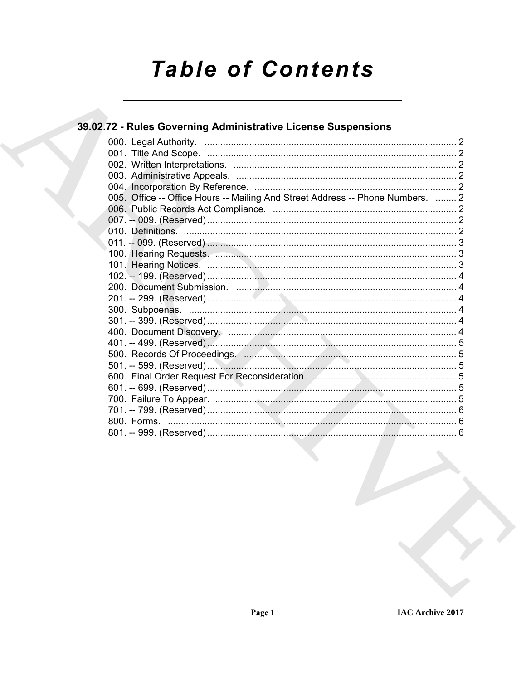# **Table of Contents**

# 39.02.72 - Rules Governing Administrative License Suspensions

| 005. Office -- Office Hours -- Mailing And Street Address -- Phone Numbers.  2 |  |
|--------------------------------------------------------------------------------|--|
|                                                                                |  |
|                                                                                |  |
|                                                                                |  |
|                                                                                |  |
|                                                                                |  |
|                                                                                |  |
|                                                                                |  |
|                                                                                |  |
|                                                                                |  |
|                                                                                |  |
|                                                                                |  |
|                                                                                |  |
|                                                                                |  |
|                                                                                |  |
|                                                                                |  |
|                                                                                |  |
|                                                                                |  |
|                                                                                |  |
|                                                                                |  |
|                                                                                |  |
|                                                                                |  |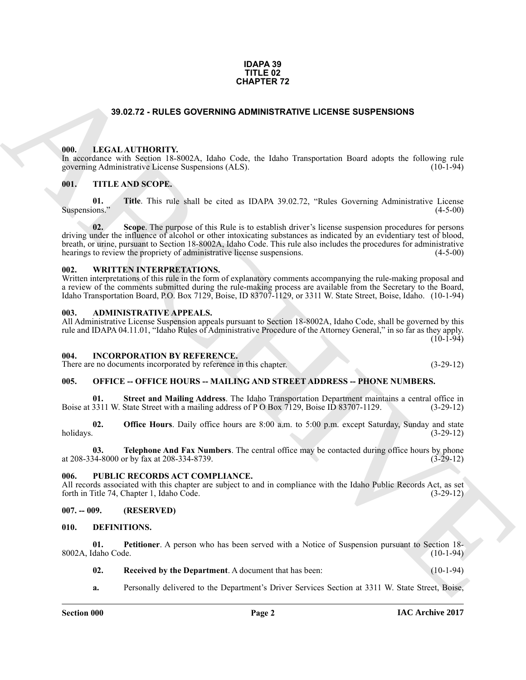# **IDAPA 39 TITLE 02 CHAPTER 72**

# **39.02.72 - RULES GOVERNING ADMINISTRATIVE LICENSE SUSPENSIONS**

# <span id="page-1-1"></span><span id="page-1-0"></span>**000. LEGAL AUTHORITY.**

In accordance with Section 18-8002A, Idaho Code, the Idaho Transportation Board adopts the following rule governing Administrative License Suspensions (ALS). (10-1-94)

# <span id="page-1-2"></span>**001. TITLE AND SCOPE.**

**01.** Title. This rule shall be cited as IDAPA 39.02.72, "Rules Governing Administrative License (4-5-00) Suspensions." (4-5-00)

**33.02.72 - RULES GOVERNING ADMINISTRATIVE LIGENSE SUSPENSIONS**<br> **BULLAR MITTIONITY, SUNA Make Cade, the liable Transportation flood along the following the<br>
ARCHIVE CONTENTS (EQUATION THE AND SCOPE).<br>
<b>BULLAR THE AND SCO 02. Scope**. The purpose of this Rule is to establish driver's license suspension procedures for persons driving under the influence of alcohol or other intoxicating substances as indicated by an evidentiary test of blood, breath, or urine, pursuant to Section 18-8002A, Idaho Code. This rule also includes the procedures for administrative hearings to review the propriety of administrative license suspensions. (4-5-00)

# <span id="page-1-3"></span>**002. WRITTEN INTERPRETATIONS.**

Written interpretations of this rule in the form of explanatory comments accompanying the rule-making proposal and a review of the comments submitted during the rule-making process are available from the Secretary to the Board, Idaho Transportation Board, P.O. Box 7129, Boise, ID 83707-1129, or 3311 W. State Street, Boise, Idaho. (10-1-94)

## <span id="page-1-4"></span>**003. ADMINISTRATIVE APPEALS.**

All Administrative License Suspension appeals pursuant to Section 18-8002A, Idaho Code, shall be governed by this rule and IDAPA 04.11.01, "Idaho Rules of Administrative Procedure of the Attorney General," in so far as they apply.  $(10-1-94)$ 

## <span id="page-1-5"></span>**004. INCORPORATION BY REFERENCE.**

There are no documents incorporated by reference in this chapter. (3-29-12)

# <span id="page-1-6"></span>**005. OFFICE -- OFFICE HOURS -- MAILING AND STREET ADDRESS -- PHONE NUMBERS.**

**Street and Mailing Address**. The Idaho Transportation Department maintains a central office in Boise at 3311 W. State Street with a mailing address of P O Box 7129, Boise ID 83707-1129. (3-29-12)

**02. Office Hours**. Daily office hours are 8:00 a.m. to 5:00 p.m. except Saturday, Sunday and state holidays. (3-29-12) holidays. (3-29-12)

**03. Telephone And Fax Numbers**. The central office may be contacted during office hours by phone 34-8000 or by fax at 208-334-8739. at 208-334-8000 or by fax at 208-334-8739.

# <span id="page-1-7"></span>**006. PUBLIC RECORDS ACT COMPLIANCE.**

All records associated with this chapter are subject to and in compliance with the Idaho Public Records Act, as set forth in Title 74, Chapter 1, Idaho Code. (3-29-12) forth in Title 74, Chapter 1, Idaho Code.

# <span id="page-1-8"></span>**007. -- 009. (RESERVED)**

## <span id="page-1-10"></span><span id="page-1-9"></span>**010. DEFINITIONS.**

**01.** Petitioner. A person who has been served with a Notice of Suspension pursuant to Section 18-<br>daho Code. (10-1-94) 8002A, Idaho Code.

<span id="page-1-12"></span><span id="page-1-11"></span>**02.** Received by the Department. A document that has been: (10-1-94)

**a.** Personally delivered to the Department's Driver Services Section at 3311 W. State Street, Boise,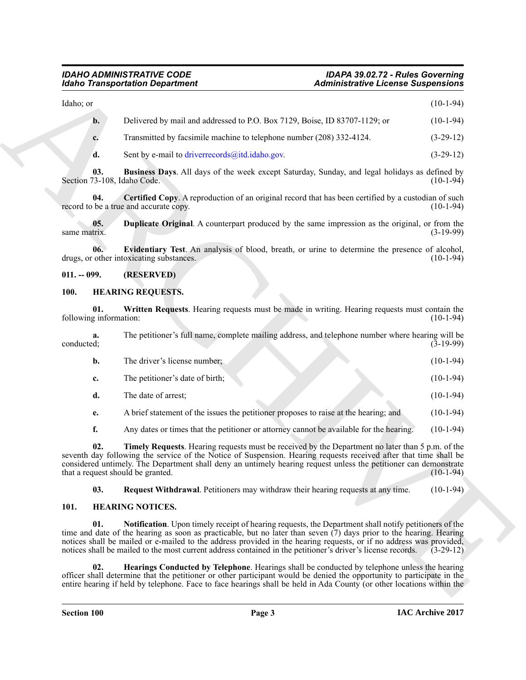# <span id="page-2-3"></span>*IDAHO ADMINISTRATIVE CODE IDAPA 39.02.72 - Rules Governing Idaho Transportation Department Administrative License Suspensions*

# <span id="page-2-6"></span><span id="page-2-5"></span><span id="page-2-4"></span><span id="page-2-0"></span>**011. -- 099. (RESERVED)**

# <span id="page-2-13"></span><span id="page-2-10"></span><span id="page-2-1"></span>**100. HEARING REQUESTS.**

| <b>Idaho Transportation Department</b> |                                                                                                                                                                                                                                                                                                                                                                                                                                                                            | <b>Administrative License Suspensions</b> |             |
|----------------------------------------|----------------------------------------------------------------------------------------------------------------------------------------------------------------------------------------------------------------------------------------------------------------------------------------------------------------------------------------------------------------------------------------------------------------------------------------------------------------------------|-------------------------------------------|-------------|
| Idaho; or                              |                                                                                                                                                                                                                                                                                                                                                                                                                                                                            |                                           | $(10-1-94)$ |
| $\mathbf{b}$ .                         | Delivered by mail and addressed to P.O. Box 7129, Boise, ID 83707-1129; or                                                                                                                                                                                                                                                                                                                                                                                                 |                                           | $(10-1-94)$ |
| c.                                     | Transmitted by facsimile machine to telephone number (208) 332-4124.                                                                                                                                                                                                                                                                                                                                                                                                       |                                           | $(3-29-12)$ |
| d.                                     | Sent by e-mail to driverrecords@itd.idaho.gov.                                                                                                                                                                                                                                                                                                                                                                                                                             |                                           | $(3-29-12)$ |
| 03.<br>Section 73-108, Idaho Code.     | Business Days. All days of the week except Saturday, Sunday, and legal holidays as defined by                                                                                                                                                                                                                                                                                                                                                                              |                                           | $(10-1-94)$ |
| 04.                                    | Certified Copy. A reproduction of an original record that has been certified by a custodian of such<br>record to be a true and accurate copy.                                                                                                                                                                                                                                                                                                                              |                                           | $(10-1-94)$ |
| 05.<br>same matrix.                    | <b>Duplicate Original.</b> A counterpart produced by the same impression as the original, or from the                                                                                                                                                                                                                                                                                                                                                                      |                                           | $(3-19-99)$ |
| 06.                                    | Evidentiary Test. An analysis of blood, breath, or urine to determine the presence of alcohol,<br>drugs, or other intoxicating substances.                                                                                                                                                                                                                                                                                                                                 |                                           | $(10-1-94)$ |
| $011. - 099.$                          | (RESERVED)                                                                                                                                                                                                                                                                                                                                                                                                                                                                 |                                           |             |
| <b>100.</b>                            | <b>HEARING REQUESTS.</b>                                                                                                                                                                                                                                                                                                                                                                                                                                                   |                                           |             |
| 01.<br>following information:          | Written Requests. Hearing requests must be made in writing. Hearing requests must contain the                                                                                                                                                                                                                                                                                                                                                                              |                                           | $(10-1-94)$ |
| a.<br>conducted;                       | The petitioner's full name, complete mailing address, and telephone number where hearing will be                                                                                                                                                                                                                                                                                                                                                                           |                                           | $(3-19-99)$ |
| $\mathbf{b}$ .                         | The driver's license number;                                                                                                                                                                                                                                                                                                                                                                                                                                               |                                           | $(10-1-94)$ |
| c.                                     | The petitioner's date of birth;                                                                                                                                                                                                                                                                                                                                                                                                                                            |                                           | $(10-1-94)$ |
| d.                                     | The date of arrest;                                                                                                                                                                                                                                                                                                                                                                                                                                                        |                                           | $(10-1-94)$ |
| e.                                     | A brief statement of the issues the petitioner proposes to raise at the hearing; and                                                                                                                                                                                                                                                                                                                                                                                       |                                           | $(10-1-94)$ |
| f.                                     | Any dates or times that the petitioner or attorney cannot be available for the hearing.                                                                                                                                                                                                                                                                                                                                                                                    |                                           | $(10-1-94)$ |
| 02.                                    | Timely Requests. Hearing requests must be received by the Department no later than 5 p.m. of the<br>seventh day following the service of the Notice of Suspension. Hearing requests received after that time shall be<br>considered untimely. The Department shall deny an untimely hearing request unless the petitioner can demonstrate<br>that a request should be granted.                                                                                             |                                           | $(10-1-94)$ |
| 03.                                    | Request Withdrawal. Petitioners may withdraw their hearing requests at any time.                                                                                                                                                                                                                                                                                                                                                                                           |                                           | $(10-1-94)$ |
| 101.                                   | <b>HEARING NOTICES.</b>                                                                                                                                                                                                                                                                                                                                                                                                                                                    |                                           |             |
| 01.                                    | <b>Notification</b> . Upon timely receipt of hearing requests, the Department shall notify petitioners of the<br>time and date of the hearing as soon as practicable, but no later than seven (7) days prior to the hearing. Hearing<br>notices shall be mailed or e-mailed to the address provided in the hearing requests, or if no address was provided,<br>notices shall be mailed to the most current address contained in the petitioner's driver's license records. |                                           | $(3-29-12)$ |
|                                        | Hearings Conducted by Telephone. Hearings shall be conducted by telephone unless the hearing                                                                                                                                                                                                                                                                                                                                                                               |                                           |             |

# <span id="page-2-12"></span><span id="page-2-11"></span><span id="page-2-9"></span><span id="page-2-8"></span><span id="page-2-7"></span><span id="page-2-2"></span>**101. HEARING NOTICES.**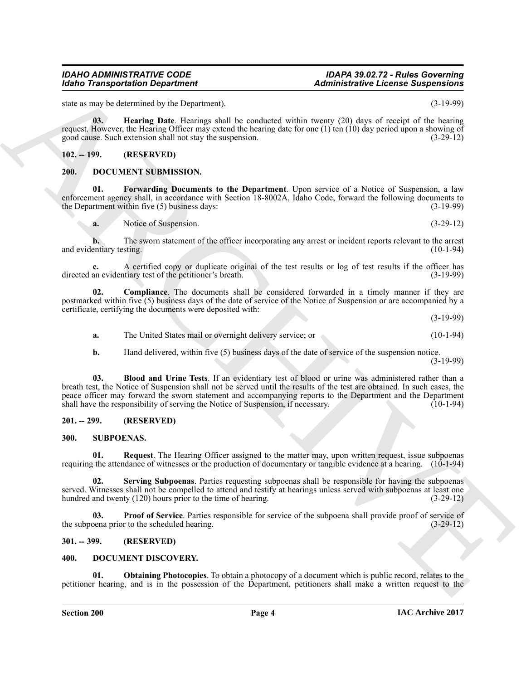# *IDAHO ADMINISTRATIVE CODE IDAPA 39.02.72 - Rules Governing Idaho Transportation Department Administrative License Suspensions*

state as may be determined by the Department). (3-19-99)

<span id="page-3-12"></span>**03. Hearing Date**. Hearings shall be conducted within twenty (20) days of receipt of the hearing request. However, the Hearing Officer may extend the hearing date for one (1) ten (10) day period upon a showing of good cause. Such extension shall not stay the suspension. (3-29-12)

# <span id="page-3-0"></span>**102. -- 199. (RESERVED)**

# <span id="page-3-8"></span><span id="page-3-1"></span>**200. DOCUMENT SUBMISSION.**

**01. Forwarding Documents to the Department**. Upon service of a Notice of Suspension, a law enforcement agency shall, in accordance with Section 18-8002A, Idaho Code, forward the following documents to the Department within five (5) business days: (3-19-99) the Department within five  $(5)$  business days:

<span id="page-3-11"></span>**a.** Notice of Suspension. (3-29-12)

**b.** The sworn statement of the officer incorporating any arrest or incident reports relevant to the arrest entiary testing. (10-1-94) and evidentiary testing.

A certified copy or duplicate original of the test results or log of test results if the officer has tiary test of the petitioner's breath. (3-19-99) directed an evidentiary test of the petitioner's breath.

**02. Compliance**. The documents shall be considered forwarded in a timely manner if they are postmarked within five (5) business days of the date of service of the Notice of Suspension or are accompanied by a certificate, certifying the documents were deposited with: (3-19-99)

<span id="page-3-10"></span>**a.** The United States mail or overnight delivery service; or (10-1-94)

<span id="page-3-9"></span>**b.** Hand delivered, within five (5) business days of the date of service of the suspension notice. (3-19-99)

Monito Transportation Department<br>
alternative Liebuvis and proportional<br>
also is a sub-solution by the University and V crossing with the result of the space with a formula point<br>
given the transportation by the sub-solut **03. Blood and Urine Tests**. If an evidentiary test of blood or urine was administered rather than a breath test, the Notice of Suspension shall not be served until the results of the test are obtained. In such cases, the peace officer may forward the sworn statement and accompanying reports to the Department and the Department shall have the responsibility of serving the Notice of Suspension, if necessary. (10-1-94) shall have the responsibility of serving the Notice of Suspension, if necessary.

# <span id="page-3-2"></span>**201. -- 299. (RESERVED)**

# <span id="page-3-13"></span><span id="page-3-3"></span>**300. SUBPOENAS.**

<span id="page-3-15"></span>**01.** Request. The Hearing Officer assigned to the matter may, upon written request, issue subpoenas requiring the attendance of witnesses or the production of documentary or tangible evidence at a hearing. (10-1-94)

<span id="page-3-16"></span>**02. Serving Subpoenas**. Parties requesting subpoenas shall be responsible for having the subpoenas served. Witnesses shall not be compelled to attend and testify at hearings unless served with subpoenas at least one hundred and twenty (120) hours prior to the time of hearing. (3-29-12) hundred and twenty  $(120)$  hours prior to the time of hearing.

<span id="page-3-14"></span>**03. Proof of Service**. Parties responsible for service of the subpoena shall provide proof of service of pena prior to the scheduled hearing. (3-29-12) the subpoena prior to the scheduled hearing.

# <span id="page-3-4"></span>**301. -- 399. (RESERVED)**

# <span id="page-3-6"></span><span id="page-3-5"></span>**400. DOCUMENT DISCOVERY.**

<span id="page-3-7"></span>**01. Obtaining Photocopies**. To obtain a photocopy of a document which is public record, relates to the petitioner hearing, and is in the possession of the Department, petitioners shall make a written request to the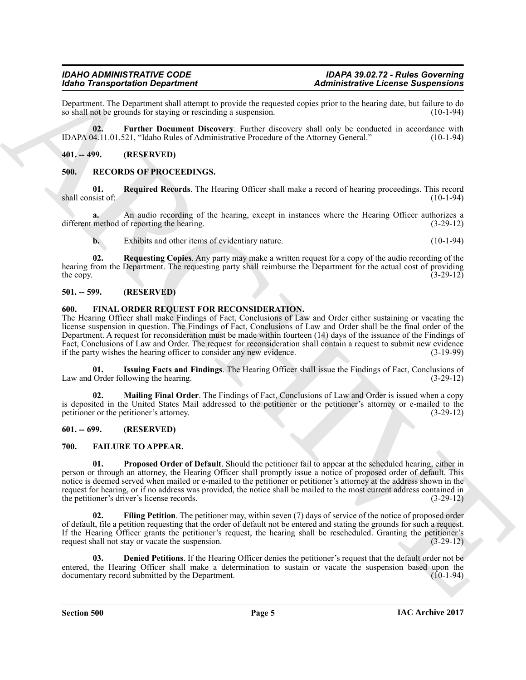Department. The Department shall attempt to provide the requested copies prior to the hearing date, but failure to do so shall not be grounds for staying or rescinding a suspension.

<span id="page-4-6"></span>**02. Further Document Discovery**. Further discovery shall only be conducted in accordance with IDAPA 04.11.01.521, "Idaho Rules of Administrative Procedure of the Attorney General." (10-1-94)

<span id="page-4-0"></span>**401. -- 499. (RESERVED)**

# <span id="page-4-14"></span><span id="page-4-1"></span>**500. RECORDS OF PROCEEDINGS.**

<span id="page-4-16"></span>**01.** Required Records. The Hearing Officer shall make a record of hearing proceedings. This record sist of: (10-1-94) shall consist of:

**a.** An audio recording of the hearing, except in instances where the Hearing Officer authorizes a different method of reporting the hearing. (3-29-12)

<span id="page-4-15"></span>**b.** Exhibits and other items of evidentiary nature. (10-1-94)

**02. Requesting Copies**. Any party may make a written request for a copy of the audio recording of the hearing from the Department. The requesting party shall reimburse the Department for the actual cost of providing<br>(3-29-12) the copy.  $(3-29-12)$ 

# <span id="page-4-2"></span>**501. -- 599. (RESERVED)**

# <span id="page-4-11"></span><span id="page-4-3"></span>**600. FINAL ORDER REQUEST FOR RECONSIDERATION.**

More Transportation Department<br>
2. Administrative Leonix Surperson and the system of the contract of the contract of the beams state of the following<br>
2. The the Department Department Department Department and the system The Hearing Officer shall make Findings of Fact, Conclusions of Law and Order either sustaining or vacating the license suspension in question. The Findings of Fact, Conclusions of Law and Order shall be the final order of the Department. A request for reconsideration must be made within fourteen (14) days of the issuance of the Findings of Fact, Conclusions of Law and Order. The request for reconsideration shall contain a request to submit new evidence if the party wishes the hearing officer to consider any new evidence. (3-19-99) if the party wishes the hearing officer to consider any new evidence.

<span id="page-4-12"></span>**01.** Issuing Facts and Findings. The Hearing Officer shall issue the Findings of Fact, Conclusions of Order following the hearing. (3-29-12) Law and Order following the hearing.

<span id="page-4-13"></span>**02. Mailing Final Order**. The Findings of Fact, Conclusions of Law and Order is issued when a copy is deposited in the United States Mail addressed to the petitioner or the petitioner's attorney or e-mailed to the petitioner or the petitioner's attorney. (3-29-12)

# <span id="page-4-4"></span>**601. -- 699. (RESERVED)**

# <span id="page-4-10"></span><span id="page-4-7"></span><span id="page-4-5"></span>**700. FAILURE TO APPEAR.**

**01. Proposed Order of Default**. Should the petitioner fail to appear at the scheduled hearing, either in person or through an attorney, the Hearing Officer shall promptly issue a notice of proposed order of default. This notice is deemed served when mailed or e-mailed to the petitioner or petitioner's attorney at the address shown in the request for hearing, or if no address was provided, the notice shall be mailed to the most current address contained in the petitioner's driver's license records. (3-29-12) the petitioner's driver's license records.

<span id="page-4-9"></span>**Filing Petition**. The petitioner may, within seven (7) days of service of the notice of proposed order of default, file a petition requesting that the order of default not be entered and stating the grounds for such a request. If the Hearing Officer grants the petitioner's request, the hearing shall be rescheduled. Granting the petitioner's request shall not stay or vacate the suspension. (3-29-12)

<span id="page-4-8"></span>**03. Denied Petitions**. If the Hearing Officer denies the petitioner's request that the default order not be entered, the Hearing Officer shall make a determination to sustain or vacate the suspension based upon the documentary record submitted by the Department. (10-1-94) documentary record submitted by the Department.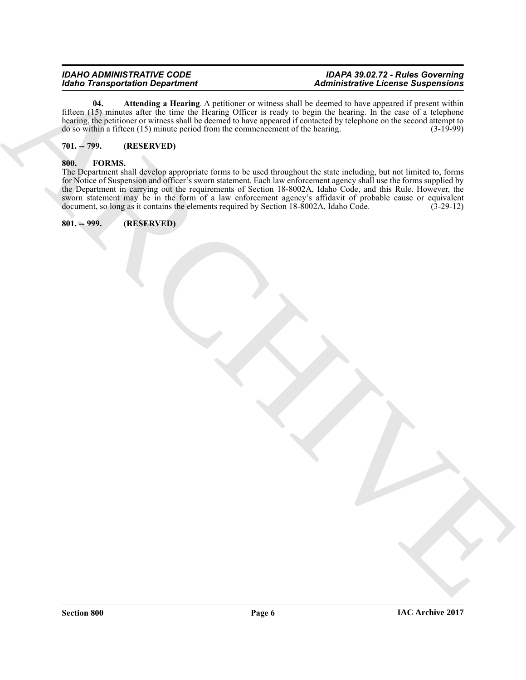# *IDAHO ADMINISTRATIVE CODE IDAPA 39.02.72 - Rules Governing Idaho Transportation Department Administrative License Suspensions*

<span id="page-5-3"></span>**04.** Attending a Hearing. A petitioner or witness shall be deemed to have appeared if present within fifteen (15) minutes after the time the Hearing Officer is ready to begin the hearing. In the case of a telephone hearing, the petitioner or witness shall be deemed to have appeared if contacted by telephone on the second attempt to do so within a fifteen (15) minute period from the commencement of the hearing. (3-19-99) do so within a fifteen  $(15)$  minute period from the commencement of the hearing.

# <span id="page-5-0"></span>**701. -- 799. (RESERVED)**

# <span id="page-5-4"></span><span id="page-5-1"></span>**800. FORMS.**

Monto Transportation Department<br>  $\frac{1}{2}$  and  $\frac{1}{2}$  and  $\frac{1}{2}$  and  $\frac{1}{2}$  and  $\frac{1}{2}$  and  $\frac{1}{2}$  and  $\frac{1}{2}$  and  $\frac{1}{2}$  and  $\frac{1}{2}$  and  $\frac{1}{2}$  and  $\frac{1}{2}$  and  $\frac{1}{2}$  and  $\frac{1}{2}$  and  $\frac{1}{$ The Department shall develop appropriate forms to be used throughout the state including, but not limited to, forms for Notice of Suspension and officer's sworn statement. Each law enforcement agency shall use the forms supplied by the Department in carrying out the requirements of Section 18-8002A, Idaho Code, and this Rule. However, the sworn statement may be in the form of a law enforcement agency's affidavit of probable cause or equivalent document, so long as it contains the elements required by Section 18-8002A, Idaho Code. (3-29-12) document, so long as it contains the elements required by Section 18-8002A, Idaho Code.

# <span id="page-5-2"></span>**801. -- 999. (RESERVED)**